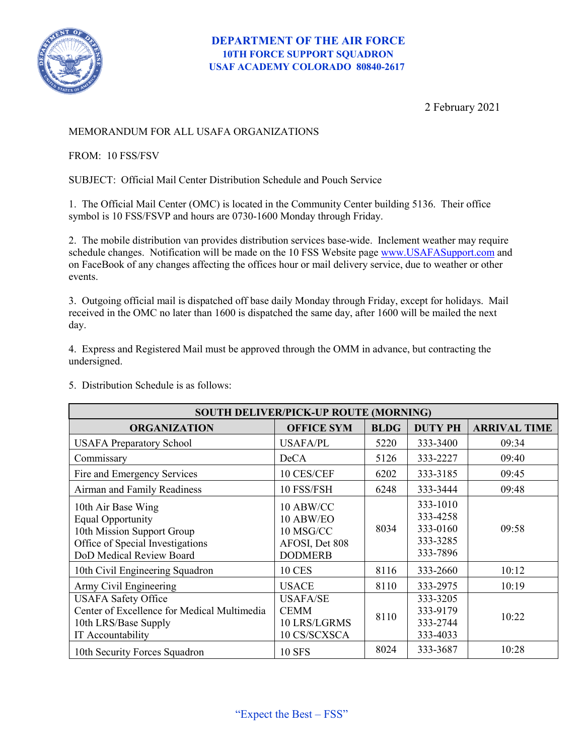

2 February 2021

## MEMORANDUM FOR ALL USAFA ORGANIZATIONS

FROM: 10 FSS/FSV

SUBJECT: Official Mail Center Distribution Schedule and Pouch Service

1. The Official Mail Center (OMC) is located in the Community Center building 5136. Their office symbol is 10 FSS/FSVP and hours are 0730-1600 Monday through Friday.

2. The mobile distribution van provides distribution services base-wide. Inclement weather may require schedule changes. Notification will be made on the 10 FSS Website page [www.USAFASupport.com](http://www.usafasupport.com/) and on FaceBook of any changes affecting the offices hour or mail delivery service, due to weather or other events.

3. Outgoing official mail is dispatched off base daily Monday through Friday, except for holidays. Mail received in the OMC no later than 1600 is dispatched the same day, after 1600 will be mailed the next day.

4. Express and Registered Mail must be approved through the OMM in advance, but contracting the undersigned.

5. Distribution Schedule is as follows:

| <b>SOUTH DELIVER/PICK-UP ROUTE (MORNING)</b>                                                                                                 |                                                                         |             |                                                          |                     |
|----------------------------------------------------------------------------------------------------------------------------------------------|-------------------------------------------------------------------------|-------------|----------------------------------------------------------|---------------------|
| <b>ORGANIZATION</b>                                                                                                                          | <b>OFFICE SYM</b>                                                       | <b>BLDG</b> | <b>DUTY PH</b>                                           | <b>ARRIVAL TIME</b> |
| <b>USAFA Preparatory School</b>                                                                                                              | <b>USAFA/PL</b>                                                         | 5220        | 333-3400                                                 | 09:34               |
| Commissary                                                                                                                                   | <b>DeCA</b>                                                             | 5126        | 333-2227                                                 | 09:40               |
| Fire and Emergency Services                                                                                                                  | 10 CES/CEF                                                              | 6202        | 333-3185                                                 | 09:45               |
| Airman and Family Readiness                                                                                                                  | 10 FSS/FSH                                                              | 6248        | 333-3444                                                 | 09:48               |
| 10th Air Base Wing<br><b>Equal Opportunity</b><br>10th Mission Support Group<br>Office of Special Investigations<br>DoD Medical Review Board | 10 ABW/CC<br>10 ABW/EO<br>10 MSG/CC<br>AFOSI, Det 808<br><b>DODMERB</b> | 8034        | 333-1010<br>333-4258<br>333-0160<br>333-3285<br>333-7896 | 09:58               |
| 10th Civil Engineering Squadron                                                                                                              | <b>10 CES</b>                                                           | 8116        | 333-2660                                                 | 10:12               |
| Army Civil Engineering                                                                                                                       | <b>USACE</b>                                                            | 8110        | 333-2975                                                 | 10:19               |
| <b>USAFA Safety Office</b><br>Center of Excellence for Medical Multimedia<br>10th LRS/Base Supply<br>IT Accountability                       | <b>USAFA/SE</b><br><b>CEMM</b><br>10 LRS/LGRMS<br>10 CS/SCXSCA          | 8110        | 333-3205<br>333-9179<br>333-2744<br>333-4033             | 10:22               |
| 10th Security Forces Squadron                                                                                                                | <b>10 SFS</b>                                                           | 8024        | 333-3687                                                 | 10:28               |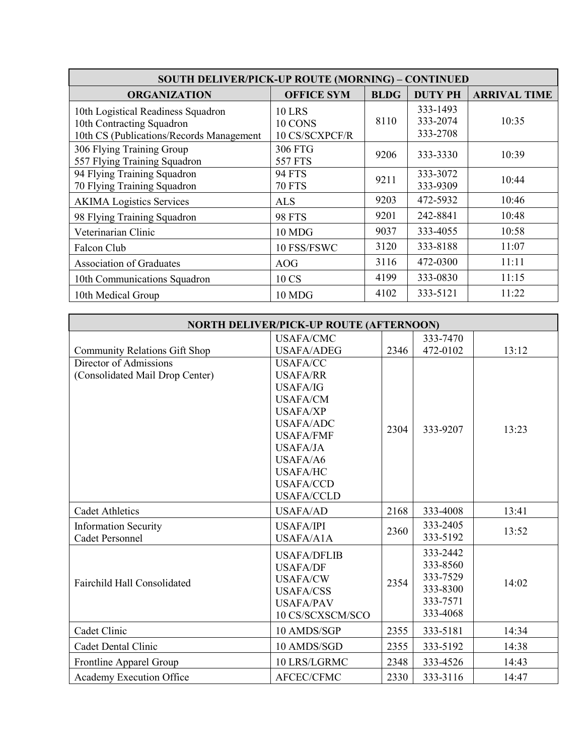| <b>SOUTH DELIVER/PICK-UP ROUTE (MORNING) - CONTINUED</b>                                                     |                                            |             |                                  |                     |  |
|--------------------------------------------------------------------------------------------------------------|--------------------------------------------|-------------|----------------------------------|---------------------|--|
| <b>ORGANIZATION</b>                                                                                          | <b>OFFICE SYM</b>                          | <b>BLDG</b> | <b>DUTY PH</b>                   | <b>ARRIVAL TIME</b> |  |
| 10th Logistical Readiness Squadron<br>10th Contracting Squadron<br>10th CS (Publications/Records Management) | <b>10 LRS</b><br>10 CONS<br>10 CS/SCXPCF/R | 8110        | 333-1493<br>333-2074<br>333-2708 | 10:35               |  |
| 306 Flying Training Group<br>557 Flying Training Squadron                                                    | 306 FTG<br>557 FTS                         | 9206        | 333-3330                         | 10:39               |  |
| 94 Flying Training Squadron<br>70 Flying Training Squadron                                                   | <b>94 FTS</b><br><b>70 FTS</b>             | 9211        | 333-3072<br>333-9309             | 10:44               |  |
| <b>AKIMA</b> Logistics Services                                                                              | <b>ALS</b>                                 | 9203        | 472-5932                         | 10:46               |  |
| 98 Flying Training Squadron                                                                                  | <b>98 FTS</b>                              | 9201        | 242-8841                         | 10:48               |  |
| Veterinarian Clinic                                                                                          | 10 MDG                                     | 9037        | 333-4055                         | 10:58               |  |
| Falcon Club                                                                                                  | 10 FSS/FSWC                                | 3120        | 333-8188                         | 11:07               |  |
| <b>Association of Graduates</b>                                                                              | AOG                                        | 3116        | 472-0300                         | 11:11               |  |
| 10th Communications Squadron                                                                                 | 10 CS                                      | 4199        | 333-0830                         | 11:15               |  |
| 10th Medical Group                                                                                           | 10 MDG                                     | 4102        | 333-5121                         | 11:22               |  |

| <b>NORTH DELIVER/PICK-UP ROUTE (AFTERNOON)</b> |                    |      |          |       |
|------------------------------------------------|--------------------|------|----------|-------|
|                                                | <b>USAFA/CMC</b>   |      | 333-7470 |       |
| <b>Community Relations Gift Shop</b>           | <b>USAFA/ADEG</b>  | 2346 | 472-0102 | 13:12 |
| Director of Admissions                         | <b>USAFA/CC</b>    |      |          |       |
| (Consolidated Mail Drop Center)                | <b>USAFA/RR</b>    |      | 333-9207 | 13:23 |
|                                                | <b>USAFA/IG</b>    |      |          |       |
|                                                | <b>USAFA/CM</b>    | 2304 |          |       |
|                                                | <b>USAFA/XP</b>    |      |          |       |
|                                                | <b>USAFA/ADC</b>   |      |          |       |
|                                                | <b>USAFA/FMF</b>   |      |          |       |
|                                                | <b>USAFA/JA</b>    |      |          |       |
|                                                | USAFA/A6           |      |          |       |
|                                                | <b>USAFA/HC</b>    |      |          |       |
|                                                | <b>USAFA/CCD</b>   |      |          |       |
|                                                | <b>USAFA/CCLD</b>  |      |          |       |
| <b>Cadet Athletics</b>                         | <b>USAFA/AD</b>    | 2168 | 333-4008 | 13:41 |
| <b>Information Security</b>                    | <b>USAFA/IPI</b>   | 2360 | 333-2405 | 13:52 |
| <b>Cadet Personnel</b>                         | <b>USAFA/A1A</b>   |      | 333-5192 |       |
| <b>Fairchild Hall Consolidated</b>             | <b>USAFA/DFLIB</b> |      | 333-2442 | 14:02 |
|                                                | <b>USAFA/DF</b>    |      | 333-8560 |       |
|                                                | <b>USAFA/CW</b>    |      | 333-7529 |       |
|                                                | <b>USAFA/CSS</b>   | 2354 | 333-8300 |       |
|                                                | <b>USAFA/PAV</b>   |      | 333-7571 |       |
|                                                | 10 CS/SCXSCM/SCO   |      | 333-4068 |       |
| Cadet Clinic                                   | 10 AMDS/SGP        | 2355 | 333-5181 | 14:34 |
| Cadet Dental Clinic                            | 10 AMDS/SGD        | 2355 | 333-5192 | 14:38 |
| Frontline Apparel Group                        | 10 LRS/LGRMC       | 2348 | 333-4526 | 14:43 |
| Academy Execution Office                       | AFCEC/CFMC         | 2330 | 333-3116 | 14:47 |